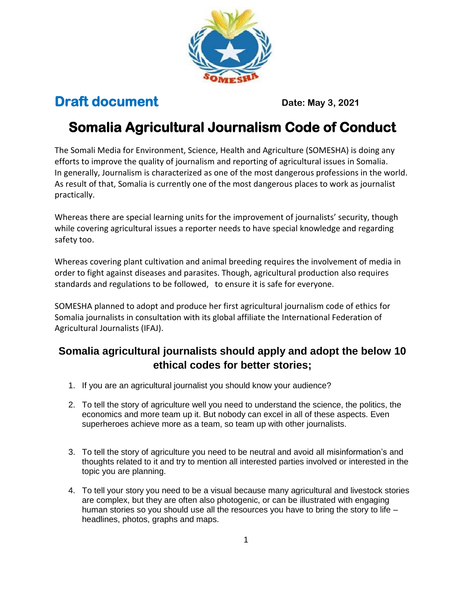

## **Draft document Date: May 3, 2021**

## **Somalia Agricultural Journalism Code of Conduct**

The Somali Media for Environment, Science, Health and Agriculture (SOMESHA) is doing any efforts to improve the quality of journalism and reporting of agricultural issues in Somalia. In generally, Journalism is characterized as one of the most dangerous professions in the world. As result of that, Somalia is currently one of the most dangerous places to work as journalist practically.

Whereas there are special learning units for the improvement of journalists' security, though while covering agricultural issues a reporter needs to have special knowledge and regarding safety too.

Whereas covering plant cultivation and animal breeding requires the involvement of media in order to fight against diseases and parasites. Though, agricultural production also requires standards and regulations to be followed, to ensure it is safe for everyone.

SOMESHA planned to adopt and produce her first agricultural journalism code of ethics for Somalia journalists in consultation with its global affiliate the International Federation of Agricultural Journalists (IFAJ).

## **Somalia agricultural journalists should apply and adopt the below 10 ethical codes for better stories;**

- 1. If you are an agricultural journalist you should know your audience?
- 2. To tell the story of agriculture well you need to understand the science, the politics, the economics and more team up it. But nobody can excel in all of these aspects. Even superheroes achieve more as a team, so team up with other journalists.
- 3. To tell the story of agriculture you need to be neutral and avoid all misinformation's and thoughts related to it and try to mention all interested parties involved or interested in the topic you are planning.
- 4. To tell your story you need to be a visual because many agricultural and livestock stories are complex, but they are often also photogenic, or can be illustrated with engaging human stories so you should use all the resources you have to bring the story to life – headlines, photos, graphs and maps.